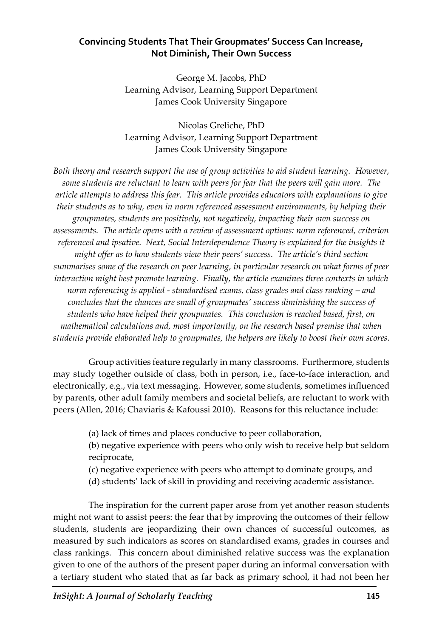# **Convincing Students That Their Groupmates' Success Can Increase, Not Diminish, Their Own Success**

George M. Jacobs, PhD Learning Advisor, Learning Support Department James Cook University Singapore

Nicolas Greliche, PhD Learning Advisor, Learning Support Department James Cook University Singapore

*Both theory and research support the use of group activities to aid student learning. However, some students are reluctant to learn with peers for fear that the peers will gain more. The article attempts to address this fear. This article provides educators with explanations to give their students as to why, even in norm referenced assessment environments, by helping their groupmates, students are positively, not negatively, impacting their own success on assessments. The article opens with a review of assessment options: norm referenced, criterion referenced and ipsative. Next, Social Interdependence Theory is explained for the insights it might offer as to how students view their peers' success. The article's third section summarises some of the research on peer learning, in particular research on what forms of peer interaction might best promote learning. Finally, the article examines three contexts in which norm referencing is applied - standardised exams, class grades and class ranking – and concludes that the chances are small of groupmates' success diminishing the success of students who have helped their groupmates. This conclusion is reached based, first, on mathematical calculations and, most importantly, on the research based premise that when students provide elaborated help to groupmates, the helpers are likely to boost their own scores.*

Group activities feature regularly in many classrooms. Furthermore, students may study together outside of class, both in person, i.e., face-to-face interaction, and electronically, e.g., via text messaging. However, some students, sometimes influenced by parents, other adult family members and societal beliefs, are reluctant to work with peers (Allen, 2016; Chaviaris & Kafoussi 2010). Reasons for this reluctance include:

(a) lack of times and places conducive to peer collaboration,

(b) negative experience with peers who only wish to receive help but seldom reciprocate,

- (c) negative experience with peers who attempt to dominate groups, and
- (d) students' lack of skill in providing and receiving academic assistance.

The inspiration for the current paper arose from yet another reason students might not want to assist peers: the fear that by improving the outcomes of their fellow students, students are jeopardizing their own chances of successful outcomes, as measured by such indicators as scores on standardised exams, grades in courses and class rankings. This concern about diminished relative success was the explanation given to one of the authors of the present paper during an informal conversation with a tertiary student who stated that as far back as primary school, it had not been her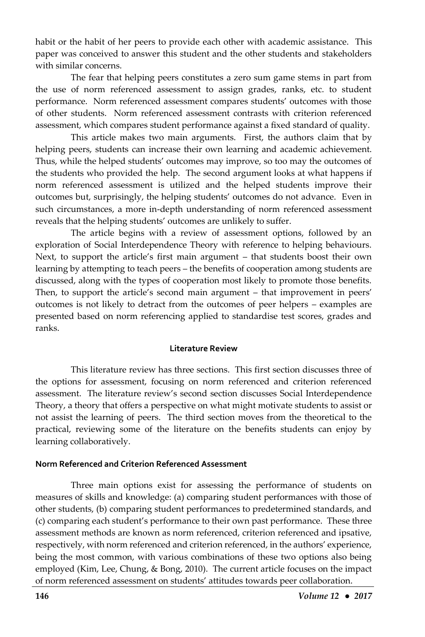habit or the habit of her peers to provide each other with academic assistance. This paper was conceived to answer this student and the other students and stakeholders with similar concerns.

The fear that helping peers constitutes a zero sum game stems in part from the use of norm referenced assessment to assign grades, ranks, etc. to student performance. Norm referenced assessment compares students' outcomes with those of other students. Norm referenced assessment contrasts with criterion referenced assessment, which compares student performance against a fixed standard of quality.

This article makes two main arguments. First, the authors claim that by helping peers, students can increase their own learning and academic achievement. Thus, while the helped students' outcomes may improve, so too may the outcomes of the students who provided the help. The second argument looks at what happens if norm referenced assessment is utilized and the helped students improve their outcomes but, surprisingly, the helping students' outcomes do not advance. Even in such circumstances, a more in-depth understanding of norm referenced assessment reveals that the helping students' outcomes are unlikely to suffer.

The article begins with a review of assessment options, followed by an exploration of Social Interdependence Theory with reference to helping behaviours. Next, to support the article's first main argument – that students boost their own learning by attempting to teach peers – the benefits of cooperation among students are discussed, along with the types of cooperation most likely to promote those benefits. Then, to support the article's second main argument – that improvement in peers' outcomes is not likely to detract from the outcomes of peer helpers – examples are presented based on norm referencing applied to standardise test scores, grades and ranks.

#### **Literature Review**

This literature review has three sections. This first section discusses three of the options for assessment, focusing on norm referenced and criterion referenced assessment. The literature review's second section discusses Social Interdependence Theory, a theory that offers a perspective on what might motivate students to assist or not assist the learning of peers. The third section moves from the theoretical to the practical, reviewing some of the literature on the benefits students can enjoy by learning collaboratively.

# **Norm Referenced and Criterion Referenced Assessment**

Three main options exist for assessing the performance of students on measures of skills and knowledge: (a) comparing student performances with those of other students, (b) comparing student performances to predetermined standards, and (c) comparing each student's performance to their own past performance. These three assessment methods are known as norm referenced, criterion referenced and ipsative, respectively, with norm referenced and criterion referenced, in the authors' experience, being the most common, with various combinations of these two options also being employed (Kim, Lee, Chung, & Bong, 2010). The current article focuses on the impact of norm referenced assessment on students' attitudes towards peer collaboration.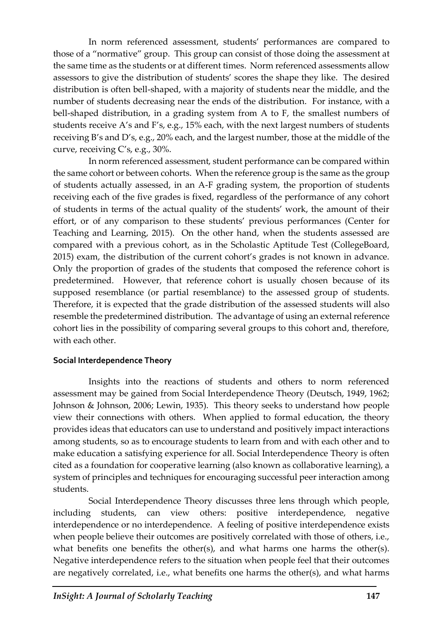In norm referenced assessment, students' performances are compared to those of a "normative" group. This group can consist of those doing the assessment at the same time as the students or at different times. Norm referenced assessments allow assessors to give the distribution of students' scores the shape they like. The desired distribution is often bell-shaped, with a majority of students near the middle, and the number of students decreasing near the ends of the distribution. For instance, with a bell-shaped distribution, in a grading system from A to F, the smallest numbers of students receive A's and F's, e.g., 15% each, with the next largest numbers of students receiving B's and D's, e.g., 20% each, and the largest number, those at the middle of the curve, receiving C's, e.g., 30%.

In norm referenced assessment, student performance can be compared within the same cohort or between cohorts. When the reference group is the same as the group of students actually assessed, in an A-F grading system, the proportion of students receiving each of the five grades is fixed, regardless of the performance of any cohort of students in terms of the actual quality of the students' work, the amount of their effort, or of any comparison to these students' previous performances (Center for Teaching and Learning, 2015). On the other hand, when the students assessed are compared with a previous cohort, as in the Scholastic Aptitude Test (CollegeBoard, 2015) exam, the distribution of the current cohort's grades is not known in advance. Only the proportion of grades of the students that composed the reference cohort is predetermined. However, that reference cohort is usually chosen because of its supposed resemblance (or partial resemblance) to the assessed group of students. Therefore, it is expected that the grade distribution of the assessed students will also resemble the predetermined distribution. The advantage of using an external reference cohort lies in the possibility of comparing several groups to this cohort and, therefore, with each other.

## **Social Interdependence Theory**

Insights into the reactions of students and others to norm referenced assessment may be gained from Social Interdependence Theory (Deutsch, 1949, 1962; Johnson & Johnson, 2006; Lewin, 1935). This theory seeks to understand how people view their connections with others. When applied to formal education, the theory provides ideas that educators can use to understand and positively impact interactions among students, so as to encourage students to learn from and with each other and to make education a satisfying experience for all. Social Interdependence Theory is often cited as a foundation for cooperative learning (also known as collaborative learning), a system of principles and techniques for encouraging successful peer interaction among students.

Social Interdependence Theory discusses three lens through which people, including students, can view others: positive interdependence, negative interdependence or no interdependence. A feeling of positive interdependence exists when people believe their outcomes are positively correlated with those of others, i.e., what benefits one benefits the other(s), and what harms one harms the other(s). Negative interdependence refers to the situation when people feel that their outcomes are negatively correlated, i.e., what benefits one harms the other(s), and what harms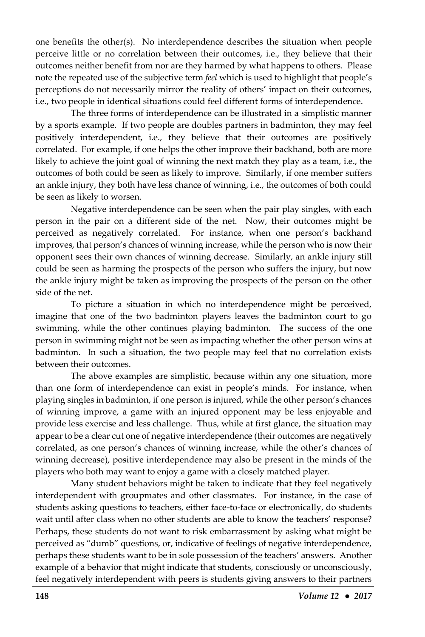one benefits the other(s). No interdependence describes the situation when people perceive little or no correlation between their outcomes, i.e., they believe that their outcomes neither benefit from nor are they harmed by what happens to others. Please note the repeated use of the subjective term *feel* which is used to highlight that people's perceptions do not necessarily mirror the reality of others' impact on their outcomes, i.e., two people in identical situations could feel different forms of interdependence.

The three forms of interdependence can be illustrated in a simplistic manner by a sports example. If two people are doubles partners in badminton, they may feel positively interdependent, i.e., they believe that their outcomes are positively correlated. For example, if one helps the other improve their backhand, both are more likely to achieve the joint goal of winning the next match they play as a team, i.e., the outcomes of both could be seen as likely to improve. Similarly, if one member suffers an ankle injury, they both have less chance of winning, i.e., the outcomes of both could be seen as likely to worsen.

Negative interdependence can be seen when the pair play singles, with each person in the pair on a different side of the net. Now, their outcomes might be perceived as negatively correlated. For instance, when one person's backhand improves, that person's chances of winning increase, while the person who is now their opponent sees their own chances of winning decrease. Similarly, an ankle injury still could be seen as harming the prospects of the person who suffers the injury, but now the ankle injury might be taken as improving the prospects of the person on the other side of the net.

To picture a situation in which no interdependence might be perceived, imagine that one of the two badminton players leaves the badminton court to go swimming, while the other continues playing badminton. The success of the one person in swimming might not be seen as impacting whether the other person wins at badminton. In such a situation, the two people may feel that no correlation exists between their outcomes.

The above examples are simplistic, because within any one situation, more than one form of interdependence can exist in people's minds. For instance, when playing singles in badminton, if one person is injured, while the other person's chances of winning improve, a game with an injured opponent may be less enjoyable and provide less exercise and less challenge. Thus, while at first glance, the situation may appear to be a clear cut one of negative interdependence (their outcomes are negatively correlated, as one person's chances of winning increase, while the other's chances of winning decrease), positive interdependence may also be present in the minds of the players who both may want to enjoy a game with a closely matched player.

Many student behaviors might be taken to indicate that they feel negatively interdependent with groupmates and other classmates. For instance, in the case of students asking questions to teachers, either face-to-face or electronically, do students wait until after class when no other students are able to know the teachers' response? Perhaps, these students do not want to risk embarrassment by asking what might be perceived as "dumb" questions, or, indicative of feelings of negative interdependence, perhaps these students want to be in sole possession of the teachers' answers. Another example of a behavior that might indicate that students, consciously or unconsciously, feel negatively interdependent with peers is students giving answers to their partners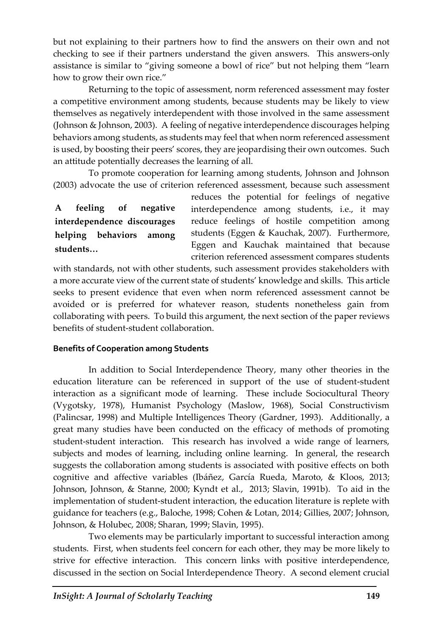but not explaining to their partners how to find the answers on their own and not checking to see if their partners understand the given answers. This answers-only assistance is similar to "giving someone a bowl of rice" but not helping them "learn how to grow their own rice."

Returning to the topic of assessment, norm referenced assessment may foster a competitive environment among students, because students may be likely to view themselves as negatively interdependent with those involved in the same assessment (Johnson & Johnson, 2003). A feeling of negative interdependence discourages helping behaviors among students, as students may feel that when norm referenced assessment is used, by boosting their peers' scores, they are jeopardising their own outcomes. Such an attitude potentially decreases the learning of all.

To promote cooperation for learning among students, Johnson and Johnson (2003) advocate the use of criterion referenced assessment, because such assessment

**A feeling of negative interdependence discourages helping behaviors among students…**

reduces the potential for feelings of negative interdependence among students, i.e., it may reduce feelings of hostile competition among students (Eggen & Kauchak, 2007). Furthermore, Eggen and Kauchak maintained that because criterion referenced assessment compares students

with standards, not with other students, such assessment provides stakeholders with a more accurate view of the current state of students' knowledge and skills. This article seeks to present evidence that even when norm referenced assessment cannot be avoided or is preferred for whatever reason, students nonetheless gain from collaborating with peers. To build this argument, the next section of the paper reviews benefits of student-student collaboration.

#### **Benefits of Cooperation among Students**

In addition to Social Interdependence Theory, many other theories in the education literature can be referenced in support of the use of student-student interaction as a significant mode of learning. These include Sociocultural Theory (Vygotsky, 1978), Humanist Psychology (Maslow, 1968), Social Constructivism (Palincsar, 1998) and Multiple Intelligences Theory (Gardner, 1993). Additionally, a great many studies have been conducted on the efficacy of methods of promoting student-student interaction. This research has involved a wide range of learners, subjects and modes of learning, including online learning. In general, the research suggests the collaboration among students is associated with positive effects on both cognitive and affective variables (Ibáñez, García Rueda, Maroto, & Kloos, 2013; Johnson, Johnson, & Stanne, 2000; Kyndt et al., 2013; Slavin, 1991b). To aid in the implementation of student-student interaction, the education literature is replete with guidance for teachers (e.g., Baloche, 1998; Cohen & Lotan, 2014; Gillies, 2007; Johnson, Johnson, & Holubec, 2008; Sharan, 1999; Slavin, 1995).

Two elements may be particularly important to successful interaction among students. First, when students feel concern for each other, they may be more likely to strive for effective interaction. This concern links with positive interdependence, discussed in the section on Social Interdependence Theory. A second element crucial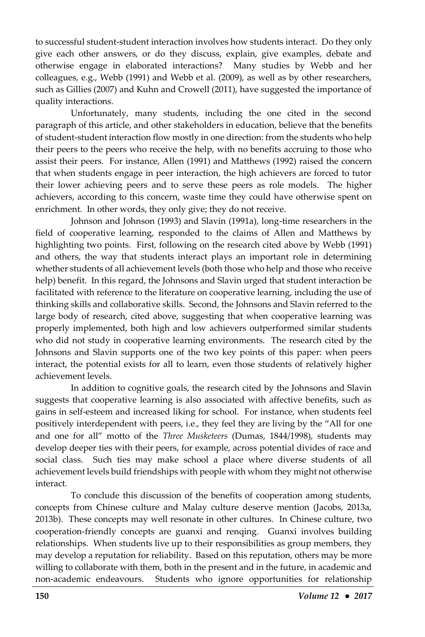to successful student-student interaction involves how students interact. Do they only give each other answers, or do they discuss, explain, give examples, debate and otherwise engage in elaborated interactions? Many studies by Webb and her colleagues, e.g., Webb (1991) and Webb et al. (2009), as well as by other researchers, such as Gillies (2007) and Kuhn and Crowell (2011), have suggested the importance of quality interactions.

Unfortunately, many students, including the one cited in the second paragraph of this article, and other stakeholders in education, believe that the benefits of student-student interaction flow mostly in one direction: from the students who help their peers to the peers who receive the help, with no benefits accruing to those who assist their peers. For instance, Allen (1991) and Matthews (1992) raised the concern that when students engage in peer interaction, the high achievers are forced to tutor their lower achieving peers and to serve these peers as role models. The higher achievers, according to this concern, waste time they could have otherwise spent on enrichment. In other words, they only give; they do not receive.

Johnson and Johnson (1993) and Slavin (1991a), long-time researchers in the field of cooperative learning, responded to the claims of Allen and Matthews by highlighting two points. First, following on the research cited above by Webb (1991) and others, the way that students interact plays an important role in determining whether students of all achievement levels (both those who help and those who receive help) benefit. In this regard, the Johnsons and Slavin urged that student interaction be facilitated with reference to the literature on cooperative learning, including the use of thinking skills and collaborative skills. Second, the Johnsons and Slavin referred to the large body of research, cited above, suggesting that when cooperative learning was properly implemented, both high and low achievers outperformed similar students who did not study in cooperative learning environments. The research cited by the Johnsons and Slavin supports one of the two key points of this paper: when peers interact, the potential exists for all to learn, even those students of relatively higher achievement levels.

In addition to cognitive goals, the research cited by the Johnsons and Slavin suggests that cooperative learning is also associated with affective benefits, such as gains in self-esteem and increased liking for school. For instance, when students feel positively interdependent with peers, i.e., they feel they are living by the "All for one and one for all" motto of the *Three Musketeers* (Dumas, 1844/1998), students may develop deeper ties with their peers, for example, across potential divides of race and social class. Such ties may make school a place where diverse students of all achievement levels build friendships with people with whom they might not otherwise interact.

To conclude this discussion of the benefits of cooperation among students, concepts from Chinese culture and Malay culture deserve mention (Jacobs, 2013a, 2013b). These concepts may well resonate in other cultures. In Chinese culture, two cooperation-friendly concepts are guanxi and renqing. Guanxi involves building relationships. When students live up to their responsibilities as group members, they may develop a reputation for reliability. Based on this reputation, others may be more willing to collaborate with them, both in the present and in the future, in academic and non-academic endeavours. Students who ignore opportunities for relationship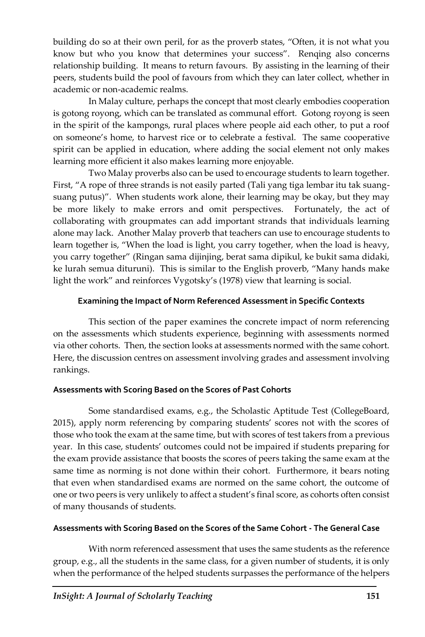building do so at their own peril, for as the proverb states, "Often, it is not what you know but who you know that determines your success". Renqing also concerns relationship building. It means to return favours. By assisting in the learning of their peers, students build the pool of favours from which they can later collect, whether in academic or non-academic realms.

In Malay culture, perhaps the concept that most clearly embodies cooperation is gotong royong, which can be translated as communal effort. Gotong royong is seen in the spirit of the kampongs, rural places where people aid each other, to put a roof on someone's home, to harvest rice or to celebrate a festival. The same cooperative spirit can be applied in education, where adding the social element not only makes learning more efficient it also makes learning more enjoyable.

Two Malay proverbs also can be used to encourage students to learn together. First, "A rope of three strands is not easily parted (Tali yang tiga lembar itu tak suangsuang putus)". When students work alone, their learning may be okay, but they may be more likely to make errors and omit perspectives. Fortunately, the act of collaborating with groupmates can add important strands that individuals learning alone may lack. Another Malay proverb that teachers can use to encourage students to learn together is, "When the load is light, you carry together, when the load is heavy, you carry together" (Ringan sama dijinjing, berat sama dipikul, ke bukit sama didaki, ke lurah semua dituruni). This is similar to the English proverb, "Many hands make light the work" and reinforces Vygotsky's (1978) view that learning is social.

# **Examining the Impact of Norm Referenced Assessment in Specific Contexts**

This section of the paper examines the concrete impact of norm referencing on the assessments which students experience, beginning with assessments normed via other cohorts. Then, the section looks at assessments normed with the same cohort. Here, the discussion centres on assessment involving grades and assessment involving rankings.

## **Assessments with Scoring Based on the Scores of Past Cohorts**

Some standardised exams, e.g., the Scholastic Aptitude Test (CollegeBoard, 2015), apply norm referencing by comparing students' scores not with the scores of those who took the exam at the same time, but with scores of test takers from a previous year. In this case, students' outcomes could not be impaired if students preparing for the exam provide assistance that boosts the scores of peers taking the same exam at the same time as norming is not done within their cohort. Furthermore, it bears noting that even when standardised exams are normed on the same cohort, the outcome of one or two peers is very unlikely to affect a student's final score, as cohorts often consist of many thousands of students.

## **Assessments with Scoring Based on the Scores of the Same Cohort - The General Case**

With norm referenced assessment that uses the same students as the reference group, e.g., all the students in the same class, for a given number of students, it is only when the performance of the helped students surpasses the performance of the helpers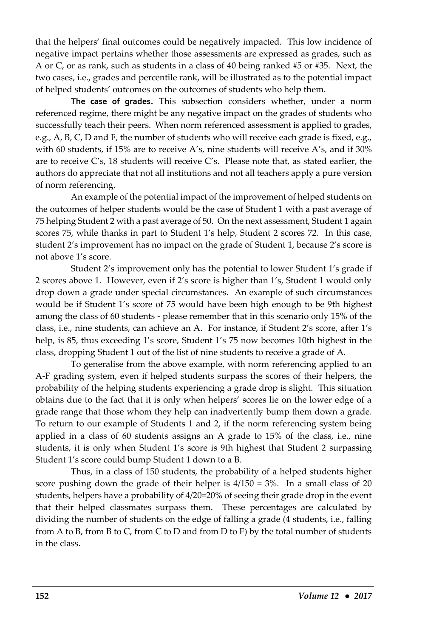that the helpers' final outcomes could be negatively impacted. This low incidence of negative impact pertains whether those assessments are expressed as grades, such as A or C, or as rank, such as students in a class of 40 being ranked #5 or #35. Next, the two cases, i.e., grades and percentile rank, will be illustrated as to the potential impact of helped students' outcomes on the outcomes of students who help them.

**The case of grades.** This subsection considers whether, under a norm referenced regime, there might be any negative impact on the grades of students who successfully teach their peers. When norm referenced assessment is applied to grades, e.g., A, B, C, D and F, the number of students who will receive each grade is fixed, e.g., with 60 students, if 15% are to receive A's, nine students will receive A's, and if 30% are to receive C's, 18 students will receive C's. Please note that, as stated earlier, the authors do appreciate that not all institutions and not all teachers apply a pure version of norm referencing.

An example of the potential impact of the improvement of helped students on the outcomes of helper students would be the case of Student 1 with a past average of 75 helping Student 2 with a past average of 50. On the next assessment, Student 1 again scores 75, while thanks in part to Student 1's help, Student 2 scores 72. In this case, student 2's improvement has no impact on the grade of Student 1, because 2's score is not above 1's score.

Student 2's improvement only has the potential to lower Student 1's grade if 2 scores above 1. However, even if 2's score is higher than 1's, Student 1 would only drop down a grade under special circumstances. An example of such circumstances would be if Student 1's score of 75 would have been high enough to be 9th highest among the class of 60 students - please remember that in this scenario only 15% of the class, i.e., nine students, can achieve an A. For instance, if Student 2's score, after 1's help, is 85, thus exceeding 1's score, Student 1's 75 now becomes 10th highest in the class, dropping Student 1 out of the list of nine students to receive a grade of A.

To generalise from the above example, with norm referencing applied to an A-F grading system, even if helped students surpass the scores of their helpers, the probability of the helping students experiencing a grade drop is slight. This situation obtains due to the fact that it is only when helpers' scores lie on the lower edge of a grade range that those whom they help can inadvertently bump them down a grade. To return to our example of Students 1 and 2, if the norm referencing system being applied in a class of 60 students assigns an A grade to 15% of the class, i.e., nine students, it is only when Student 1's score is 9th highest that Student 2 surpassing Student 1's score could bump Student 1 down to a B.

Thus, in a class of 150 students, the probability of a helped students higher score pushing down the grade of their helper is 4/150 = 3%. In a small class of 20 students, helpers have a probability of 4/20=20% of seeing their grade drop in the event that their helped classmates surpass them. These percentages are calculated by dividing the number of students on the edge of falling a grade (4 students, i.e., falling from A to B, from B to C, from C to D and from D to F) by the total number of students in the class.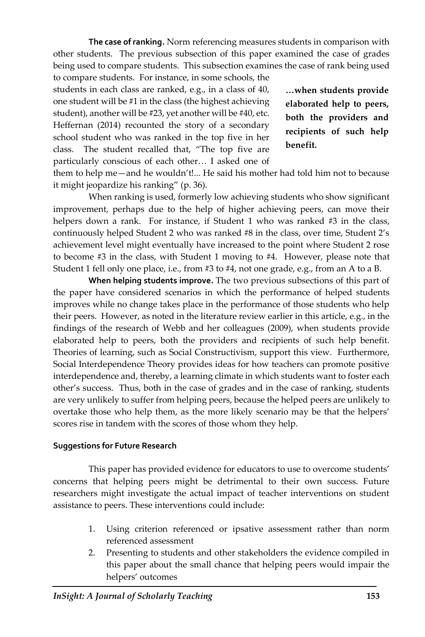**The case of ranking.** Norm referencing measures students in comparison with other students. The previous subsection of this paper examined the case of grades being used to compare students. This subsection examines the case of rank being used

to compare students. For instance, in some schools, the students in each class are ranked, e.g., in a class of 40, one student will be #1 in the class (the highest achieving student), another will be #23, yet another will be #40, etc. Heffernan (2014) recounted the story of a secondary school student who was ranked in the top five in her class. The student recalled that, "The top five are particularly conscious of each other… I asked one of

**…when students provide elaborated help to peers, both the providers and recipients of such help benefit.**

them to help me—and he wouldn't!... He said his mother had told him not to because it might jeopardize his ranking" (p. 36).

When ranking is used, formerly low achieving students who show significant improvement, perhaps due to the help of higher achieving peers, can move their helpers down a rank. For instance, if Student 1 who was ranked #3 in the class, continuously helped Student 2 who was ranked #8 in the class, over time, Student 2's achievement level might eventually have increased to the point where Student 2 rose to become #3 in the class, with Student 1 moving to #4. However, please note that Student 1 fell only one place, i.e., from #3 to #4, not one grade, e.g., from an A to a B.

**When helping students improve.** The two previous subsections of this part of the paper have considered scenarios in which the performance of helped students improves while no change takes place in the performance of those students who help their peers. However, as noted in the literature review earlier in this article, e.g., in the findings of the research of Webb and her colleagues (2009), when students provide elaborated help to peers, both the providers and recipients of such help benefit. Theories of learning, such as Social Constructivism, support this view. Furthermore, Social Interdependence Theory provides ideas for how teachers can promote positive interdependence and, thereby, a learning climate in which students want to foster each other's success. Thus, both in the case of grades and in the case of ranking, students are very unlikely to suffer from helping peers, because the helped peers are unlikely to overtake those who help them, as the more likely scenario may be that the helpers' scores rise in tandem with the scores of those whom they help.

#### **Suggestions for Future Research**

This paper has provided evidence for educators to use to overcome students' concerns that helping peers might be detrimental to their own success. Future researchers might investigate the actual impact of teacher interventions on student assistance to peers. These interventions could include:

- 1. Using criterion referenced or ipsative assessment rather than norm referenced assessment
- 2. Presenting to students and other stakeholders the evidence compiled in this paper about the small chance that helping peers would impair the helpers' outcomes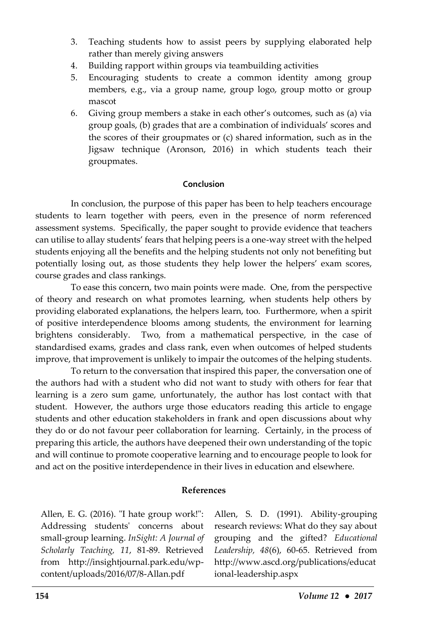- 3. Teaching students how to assist peers by supplying elaborated help rather than merely giving answers
- 4. Building rapport within groups via teambuilding activities
- 5. Encouraging students to create a common identity among group members, e.g., via a group name, group logo, group motto or group mascot
- 6. Giving group members a stake in each other's outcomes, such as (a) via group goals, (b) grades that are a combination of individuals' scores and the scores of their groupmates or (c) shared information, such as in the Jigsaw technique (Aronson, 2016) in which students teach their groupmates.

## **Conclusion**

In conclusion, the purpose of this paper has been to help teachers encourage students to learn together with peers, even in the presence of norm referenced assessment systems. Specifically, the paper sought to provide evidence that teachers can utilise to allay students' fears that helping peers is a one-way street with the helped students enjoying all the benefits and the helping students not only not benefiting but potentially losing out, as those students they help lower the helpers' exam scores, course grades and class rankings.

To ease this concern, two main points were made. One, from the perspective of theory and research on what promotes learning, when students help others by providing elaborated explanations, the helpers learn, too. Furthermore, when a spirit of positive interdependence blooms among students, the environment for learning brightens considerably. Two, from a mathematical perspective, in the case of standardised exams, grades and class rank, even when outcomes of helped students improve, that improvement is unlikely to impair the outcomes of the helping students.

To return to the conversation that inspired this paper, the conversation one of the authors had with a student who did not want to study with others for fear that learning is a zero sum game, unfortunately, the author has lost contact with that student. However, the authors urge those educators reading this article to engage students and other education stakeholders in frank and open discussions about why they do or do not favour peer collaboration for learning. Certainly, in the process of preparing this article, the authors have deepened their own understanding of the topic and will continue to promote cooperative learning and to encourage people to look for and act on the positive interdependence in their lives in education and elsewhere.

## **References**

Allen, E. G. (2016). "I hate group work!": Addressing students' concerns about small-group learning. *InSight: A Journal of Scholarly Teaching, 11*, 81-89. Retrieved from http://insightjournal.park.edu/wpcontent/uploads/2016/07/8-Allan.pdf

Allen, S. D. (1991). Ability-grouping research reviews: What do they say about grouping and the gifted? *Educational Leadership, 48*(6), 60-65. Retrieved from http://www.ascd.org/publications/educat ional-leadership.aspx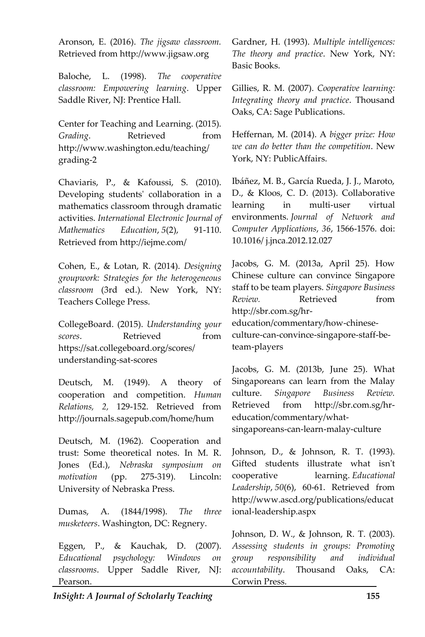Aronson, E. (2016). *The jigsaw classroom.*  Retrieved from http://www.jigsaw.org

Baloche, L. (1998). *The cooperative classroom: Empowering learning*. Upper Saddle River, NJ: Prentice Hall.

Center for Teaching and Learning. (2015). *Grading.* Retrieved from http://www.washington.edu/teaching/ grading-2

Chaviaris, P., & Kafoussi, S. (2010). Developing students' collaboration in a mathematics classroom through dramatic activities. *International Electronic Journal of Mathematics Education*, *5*(2), 91-110. Retrieved from http://iejme.com/

Cohen, E., & Lotan, R. (2014). *Designing groupwork: Strategies for the heterogeneous classroom* (3rd ed.). New York, NY: Teachers College Press.

CollegeBoard. (2015). *Understanding your scores.* Retrieved from https://sat.collegeboard.org/scores/ understanding-sat-scores

Deutsch, M. (1949). A theory of cooperation and competition. *Human Relations, 2,* 129-152. Retrieved from http://journals.sagepub.com/home/hum

Deutsch, M. (1962). Cooperation and trust: Some theoretical notes. In M. R. Jones (Ed.), *Nebraska symposium on motivation* (pp. 275-319). Lincoln: University of Nebraska Press.

Dumas, A. (1844/1998). *The three musketeers*. Washington, DC: Regnery.

Eggen, P., & Kauchak, D. (2007). *Educational psychology: Windows on classrooms*. Upper Saddle River, NJ: Pearson.

Gardner, H. (1993). *Multiple intelligences: The theory and practice*. New York, NY: Basic Books.

Gillies, R. M. (2007). *Cooperative learning: Integrating theory and practice*. Thousand Oaks, CA: Sage Publications.

Heffernan, M. (2014). A *bigger prize: How we can do better than the competition*. New York, NY: PublicAffairs.

Ibáñez, M. B., García Rueda, J. J., Maroto, D., & Kloos, C. D. (2013). Collaborative learning in multi-user virtual environments. *Journal of Network and Computer Applications*, *36*, 1566-1576. doi: 10.1016/ j.jnca.2012.12.027

Jacobs, G. M. (2013a, April 25). How Chinese culture can convince Singapore staff to be team players. *Singapore Business Review.* Retrieved from http://sbr.com.sg/hreducation/commentary/how-chineseculture-can-convince-singapore-staff-beteam-players

Jacobs, G. M. (2013b, June 25). What Singaporeans can learn from the Malay culture. *Singapore Business Review.*  Retrieved from http://sbr.com.sg/hreducation/commentary/whatsingaporeans-can-learn-malay-culture

Johnson, D., & Johnson, R. T. (1993). Gifted students illustrate what isn't cooperative learning. *Educational Leadership*, *50*(6), 60-61. Retrieved from http://www.ascd.org/publications/educat ional-leadership.aspx

Johnson, D. W., & Johnson, R. T. (2003). *Assessing students in groups: Promoting group responsibility and individual accountability*. Thousand Oaks, CA: Corwin Press.

*InSight: A Journal of Scholarly Teaching* **155**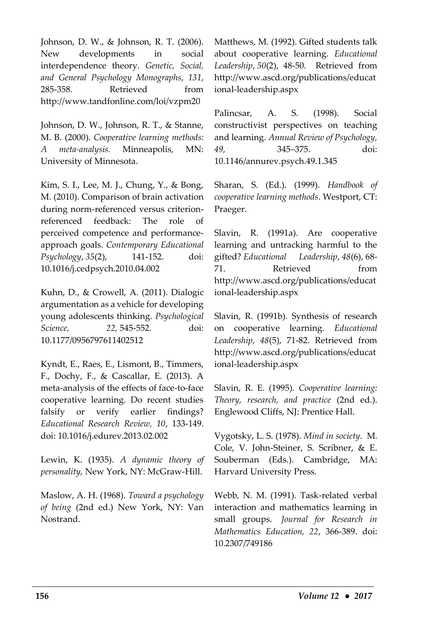Johnson, D. W., & Johnson, R. T. (2006). New developments in social interdependence theory. *Genetic, Social, and General Psychology Monographs*, *131*, 285-358. Retrieved from http://www.tandfonline.com/loi/vzpm20

Johnson, D. W., Johnson, R. T., & Stanne, M. B. (2000). *Cooperative learning methods: A meta-analysis.* Minneapolis, MN: University of Minnesota.

Kim, S. I., Lee, M. J., Chung, Y., & Bong, M. (2010). Comparison of brain activation during norm-referenced versus criterionreferenced feedback: The role of perceived competence and performanceapproach goals. *Contemporary Educational Psychology*, *35*(2), 141-152. doi: 10.1016/j.cedpsych.2010.04.002

Kuhn, D., & Crowell, A. (2011). Dialogic argumentation as a vehicle for developing young adolescents thinking. *Psychological Science, 22,* 545-552. doi: 10.1177/0956797611402512

Kyndt, E., Raes, E., Lismont, B., Timmers, F., Dochy, F., & Cascallar, E. (2013). A meta-analysis of the effects of face-to-face cooperative learning. Do recent studies falsify or verify earlier findings? *Educational Research Review, 10*, 133-149. doi: 10.1016/j.edurev.2013.02.002

Lewin, K. (1935). *A dynamic theory of personality,* New York, NY: McGraw-Hill.

Maslow, A. H. (1968). *Toward a psychology of being* (2nd ed.) New York, NY: Van Nostrand.

Matthews, M. (1992). Gifted students talk about cooperative learning. *Educational Leadership*, *50*(2), 48-50. Retrieved from http://www.ascd.org/publications/educat ional-leadership.aspx

Palincsar, A. S. (1998). Social constructivist perspectives on teaching and learning. *Annual Review of Psychology, 49,* 345–375. doi: 10.1146/annurev.psych.49.1.345

Sharan, S. (Ed.). (1999). *Handbook of cooperative learning methods*. Westport, CT: Praeger.

Slavin, R. (1991a). Are cooperative learning and untracking harmful to the gifted? *Educational Leadership*, *48*(6), 68- 71. Retrieved from http://www.ascd.org/publications/educat ional-leadership.aspx

Slavin, R. (1991b). Synthesis of research on cooperative learning. *Educational Leadership, 48*(5), 71-82. Retrieved from http://www.ascd.org/publications/educat ional-leadership.aspx

Slavin, R. E. (1995). *Cooperative learning: Theory, research, and practice* (2nd ed.). Englewood Cliffs, NJ: Prentice Hall.

Vygotsky, L. S. (1978). *Mind in society*. M. Cole, V. John-Steiner, S. Scribner, & E. Souberman (Eds.). Cambridge, MA: Harvard University Press.

Webb, N. M. (1991). Task-related verbal interaction and mathematics learning in small groups. *Journal for Research in Mathematics Education, 22*, 366-389. doi: 10.2307/749186